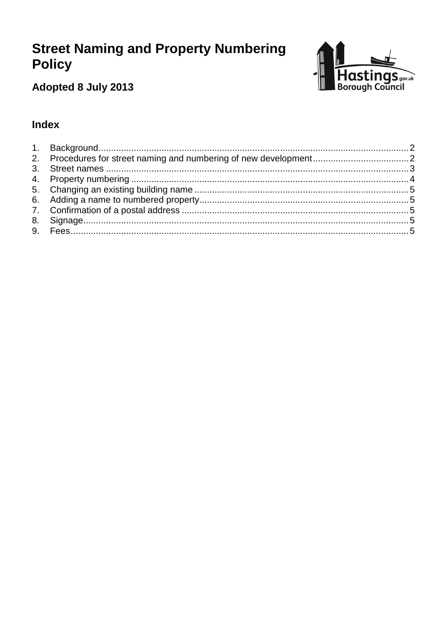# **Street Naming and Property Numbering Policy**



# Adopted 8 July 2013

# **Index**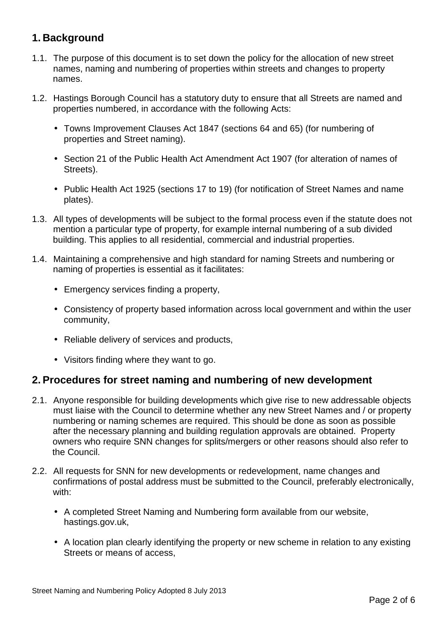# **1. Background**

- 1.1. The purpose of this document is to set down the policy for the allocation of new street names, naming and numbering of properties within streets and changes to property names.
- 1.2. Hastings Borough Council has a statutory duty to ensure that all Streets are named and properties numbered, in accordance with the following Acts:
	- Towns Improvement Clauses Act 1847 (sections 64 and 65) (for numbering of properties and Street naming).
	- Section 21 of the Public Health Act Amendment Act 1907 (for alteration of names of Streets).
	- Public Health Act 1925 (sections 17 to 19) (for notification of Street Names and name plates).
- 1.3. All types of developments will be subject to the formal process even if the statute does not mention a particular type of property, for example internal numbering of a sub divided building. This applies to all residential, commercial and industrial properties.
- 1.4. Maintaining a comprehensive and high standard for naming Streets and numbering or naming of properties is essential as it facilitates:
	- Emergency services finding a property,
	- Consistency of property based information across local government and within the user community,
	- Reliable delivery of services and products,
	- Visitors finding where they want to go.

#### **2. Procedures for street naming and numbering of new development**

- 2.1. Anyone responsible for building developments which give rise to new addressable objects must liaise with the Council to determine whether any new Street Names and / or property numbering or naming schemes are required. This should be done as soon as possible after the necessary planning and building regulation approvals are obtained. Property owners who require SNN changes for splits/mergers or other reasons should also refer to the Council.
- 2.2. All requests for SNN for new developments or redevelopment, name changes and confirmations of postal address must be submitted to the Council, preferably electronically, with:
	- A completed Street Naming and Numbering form available from our website, hastings.gov.uk,
	- A location plan clearly identifying the property or new scheme in relation to any existing Streets or means of access,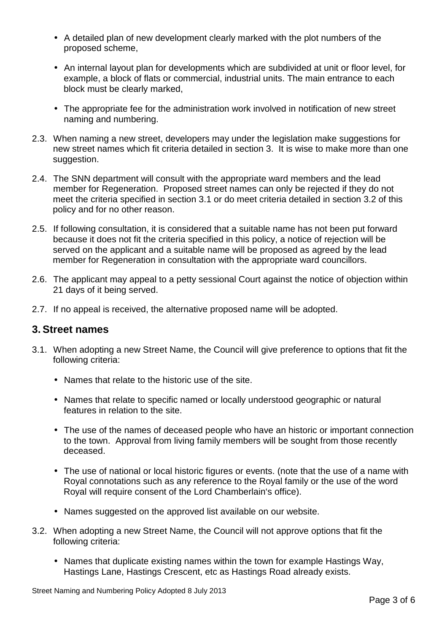- A detailed plan of new development clearly marked with the plot numbers of the proposed scheme,
- An internal layout plan for developments which are subdivided at unit or floor level, for example, a block of flats or commercial, industrial units. The main entrance to each block must be clearly marked,
- The appropriate fee for the administration work involved in notification of new street naming and numbering.
- 2.3. When naming a new street, developers may under the legislation make suggestions for new street names which fit criteria detailed in section 3. It is wise to make more than one suggestion.
- 2.4. The SNN department will consult with the appropriate ward members and the lead member for Regeneration. Proposed street names can only be rejected if they do not meet the criteria specified in section 3.1 or do meet criteria detailed in section 3.2 of this policy and for no other reason.
- 2.5. If following consultation, it is considered that a suitable name has not been put forward because it does not fit the criteria specified in this policy, a notice of rejection will be served on the applicant and a suitable name will be proposed as agreed by the lead member for Regeneration in consultation with the appropriate ward councillors.
- 2.6. The applicant may appeal to a petty sessional Court against the notice of objection within 21 days of it being served.
- 2.7. If no appeal is received, the alternative proposed name will be adopted.

#### **3. Street names**

- 3.1. When adopting a new Street Name, the Council will give preference to options that fit the following criteria:
	- Names that relate to the historic use of the site.
	- Names that relate to specific named or locally understood geographic or natural features in relation to the site.
	- The use of the names of deceased people who have an historic or important connection to the town. Approval from living family members will be sought from those recently deceased.
	- The use of national or local historic figures or events. (note that the use of a name with Royal connotations such as any reference to the Royal family or the use of the word Royal will require consent of the Lord Chamberlain's office).
	- Names suggested on the approved list available on our website.
- 3.2. When adopting a new Street Name, the Council will not approve options that fit the following criteria:
	- Names that duplicate existing names within the town for example Hastings Way, Hastings Lane, Hastings Crescent, etc as Hastings Road already exists.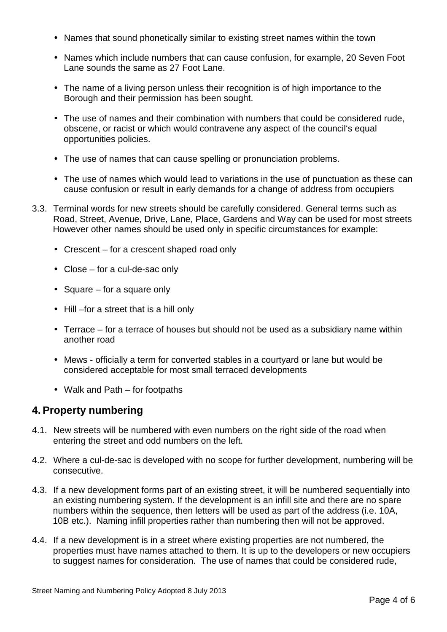- Names that sound phonetically similar to existing street names within the town
- Names which include numbers that can cause confusion, for example, 20 Seven Foot Lane sounds the same as 27 Foot Lane.
- The name of a living person unless their recognition is of high importance to the Borough and their permission has been sought.
- The use of names and their combination with numbers that could be considered rude, obscene, or racist or which would contravene any aspect of the council's equal opportunities policies.
- The use of names that can cause spelling or pronunciation problems.
- The use of names which would lead to variations in the use of punctuation as these can cause confusion or result in early demands for a change of address from occupiers
- 3.3. Terminal words for new streets should be carefully considered. General terms such as Road, Street, Avenue, Drive, Lane, Place, Gardens and Way can be used for most streets However other names should be used only in specific circumstances for example:
	- Crescent for a crescent shaped road only
	- Close for a cul-de-sac only
	- Square for a square only
	- Hill –for a street that is a hill only
	- Terrace for a terrace of houses but should not be used as a subsidiary name within another road
	- Mews officially a term for converted stables in a courtyard or lane but would be considered acceptable for most small terraced developments
	- Walk and Path for footpaths

## **4. Property numbering**

- 4.1. New streets will be numbered with even numbers on the right side of the road when entering the street and odd numbers on the left.
- 4.2. Where a cul-de-sac is developed with no scope for further development, numbering will be consecutive.
- 4.3. If a new development forms part of an existing street, it will be numbered sequentially into an existing numbering system. If the development is an infill site and there are no spare numbers within the sequence, then letters will be used as part of the address (i.e. 10A, 10B etc.). Naming infill properties rather than numbering then will not be approved.
- 4.4. If a new development is in a street where existing properties are not numbered, the properties must have names attached to them. It is up to the developers or new occupiers to suggest names for consideration. The use of names that could be considered rude,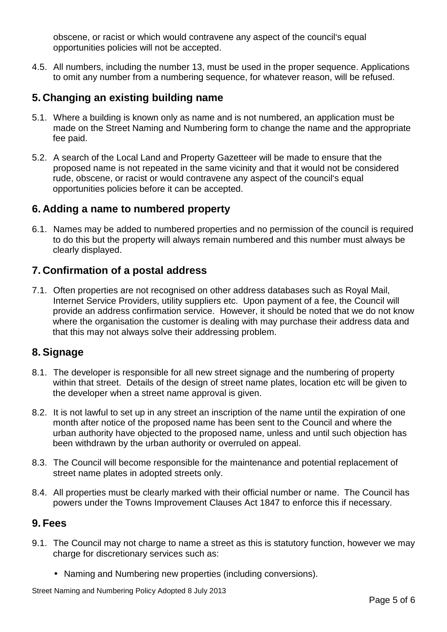obscene, or racist or which would contravene any aspect of the council's equal opportunities policies will not be accepted.

4.5. All numbers, including the number 13, must be used in the proper sequence. Applications to omit any number from a numbering sequence, for whatever reason, will be refused.

### **5. Changing an existing building name**

- 5.1. Where a building is known only as name and is not numbered, an application must be made on the Street Naming and Numbering form to change the name and the appropriate fee paid.
- 5.2. A search of the Local Land and Property Gazetteer will be made to ensure that the proposed name is not repeated in the same vicinity and that it would not be considered rude, obscene, or racist or would contravene any aspect of the council's equal opportunities policies before it can be accepted.

#### **6. Adding a name to numbered property**

6.1. Names may be added to numbered properties and no permission of the council is required to do this but the property will always remain numbered and this number must always be clearly displayed.

#### **7. Confirmation of a postal address**

7.1. Often properties are not recognised on other address databases such as Royal Mail, Internet Service Providers, utility suppliers etc. Upon payment of a fee, the Council will provide an address confirmation service. However, it should be noted that we do not know where the organisation the customer is dealing with may purchase their address data and that this may not always solve their addressing problem.

## **8. Signage**

- 8.1. The developer is responsible for all new street signage and the numbering of property within that street. Details of the design of street name plates, location etc will be given to the developer when a street name approval is given.
- 8.2. It is not lawful to set up in any street an inscription of the name until the expiration of one month after notice of the proposed name has been sent to the Council and where the urban authority have objected to the proposed name, unless and until such objection has been withdrawn by the urban authority or overruled on appeal.
- 8.3. The Council will become responsible for the maintenance and potential replacement of street name plates in adopted streets only.
- 8.4. All properties must be clearly marked with their official number or name. The Council has powers under the Towns Improvement Clauses Act 1847 to enforce this if necessary.

#### **9. Fees**

- 9.1. The Council may not charge to name a street as this is statutory function, however we may charge for discretionary services such as:
	- Naming and Numbering new properties (including conversions).